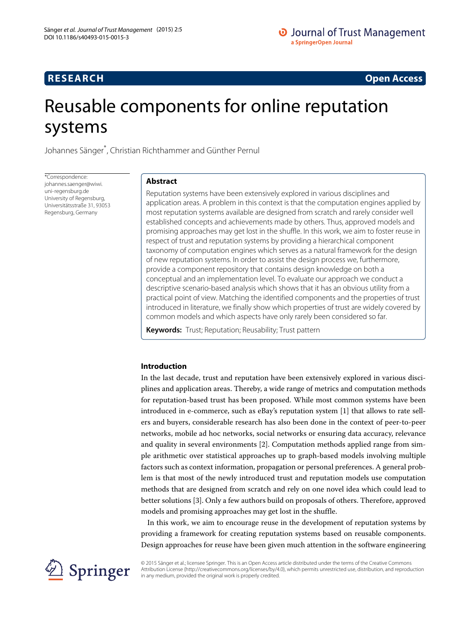# **RESEARCH Open Access**

# Reusable components for online reputation systems

Johannes Sänger\* , Christian Richthammer and Günther Pernul

\*Correspondence: [johannes.saenger@wiwi.](mailto: johannes.saenger@wiwi.uni-regensburg.de) [uni-regensburg.de](mailto: johannes.saenger@wiwi.uni-regensburg.de) University of Regensburg, Universitätsstraße 31, 93053 Regensburg, Germany

# **Abstract**

Reputation systems have been extensively explored in various disciplines and application areas. A problem in this context is that the computation engines applied by most reputation systems available are designed from scratch and rarely consider well established concepts and achievements made by others. Thus, approved models and promising approaches may get lost in the shuffle. In this work, we aim to foster reuse in respect of trust and reputation systems by providing a hierarchical component taxonomy of computation engines which serves as a natural framework for the design of new reputation systems. In order to assist the design process we, furthermore, provide a component repository that contains design knowledge on both a conceptual and an implementation level. To evaluate our approach we conduct a descriptive scenario-based analysis which shows that it has an obvious utility from a practical point of view. Matching the identified components and the properties of trust introduced in literature, we finally show which properties of trust are widely covered by common models and which aspects have only rarely been considered so far.

**Keywords:** Trust; Reputation; Reusability; Trust pattern

# **Introduction**

In the last decade, trust and reputation have been extensively explored in various disciplines and application areas. Thereby, a wide range of metrics and computation methods for reputation-based trust has been proposed. While most common systems have been introduced in e-commerce, such as eBay's reputation system [\[1\]](#page-18-0) that allows to rate sellers and buyers, considerable research has also been done in the context of peer-to-peer networks, mobile ad hoc networks, social networks or ensuring data accuracy, relevance and quality in several environments [\[2\]](#page-18-1). Computation methods applied range from simple arithmetic over statistical approaches up to graph-based models involving multiple factors such as context information, propagation or personal preferences. A general problem is that most of the newly introduced trust and reputation models use computation methods that are designed from scratch and rely on one novel idea which could lead to better solutions [\[3\]](#page-18-2). Only a few authors build on proposals of others. Therefore, approved models and promising approaches may get lost in the shuffle.

In this work, we aim to encourage reuse in the development of reputation systems by providing a framework for creating reputation systems based on reusable components. Design approaches for reuse have been given much attention in the software engineering



© 2015 Sänger et al.; licensee Springer. This is an Open Access article distributed under the terms of the Creative Commons Attribution License [\(http://creativecommons.org/licenses/by/4.0\)](http://creativecommons.org/licenses/by/4.0), which permits unrestricted use, distribution, and reproduction in any medium, provided the original work is properly credited.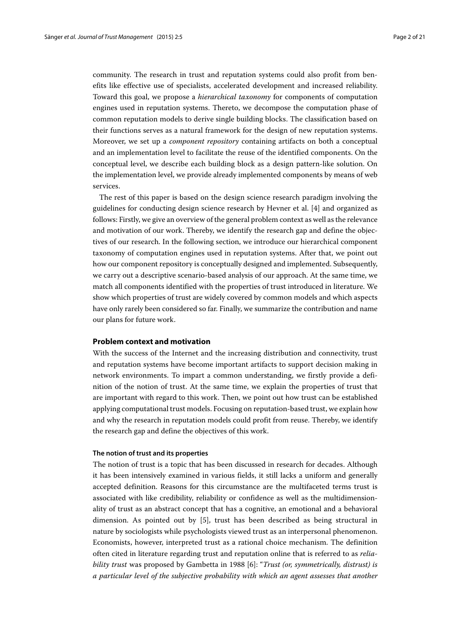community. The research in trust and reputation systems could also profit from benefits like effective use of specialists, accelerated development and increased reliability. Toward this goal, we propose a *hierarchical taxonomy* for components of computation engines used in reputation systems. Thereto, we decompose the computation phase of common reputation models to derive single building blocks. The classification based on their functions serves as a natural framework for the design of new reputation systems. Moreover, we set up a *component repository* containing artifacts on both a conceptual and an implementation level to facilitate the reuse of the identified components. On the conceptual level, we describe each building block as a design pattern-like solution. On the implementation level, we provide already implemented components by means of web services.

The rest of this paper is based on the design science research paradigm involving the guidelines for conducting design science research by Hevner et al. [\[4\]](#page-18-3) and organized as follows: Firstly, we give an overview of the general problem context as well as the relevance and motivation of our work. Thereby, we identify the research gap and define the objectives of our research. In the following section, we introduce our hierarchical component taxonomy of computation engines used in reputation systems. After that, we point out how our component repository is conceptually designed and implemented. Subsequently, we carry out a descriptive scenario-based analysis of our approach. At the same time, we match all components identified with the properties of trust introduced in literature. We show which properties of trust are widely covered by common models and which aspects have only rarely been considered so far. Finally, we summarize the contribution and name our plans for future work.

# **Problem context and motivation**

With the success of the Internet and the increasing distribution and connectivity, trust and reputation systems have become important artifacts to support decision making in network environments. To impart a common understanding, we firstly provide a definition of the notion of trust. At the same time, we explain the properties of trust that are important with regard to this work. Then, we point out how trust can be established applying computational trust models. Focusing on reputation-based trust, we explain how and why the research in reputation models could profit from reuse. Thereby, we identify the research gap and define the objectives of this work.

## **The notion of trust and its properties**

<span id="page-1-0"></span>The notion of trust is a topic that has been discussed in research for decades. Although it has been intensively examined in various fields, it still lacks a uniform and generally accepted definition. Reasons for this circumstance are the multifaceted terms trust is associated with like credibility, reliability or confidence as well as the multidimensionality of trust as an abstract concept that has a cognitive, an emotional and a behavioral dimension. As pointed out by [\[5\]](#page-18-4), trust has been described as being structural in nature by sociologists while psychologists viewed trust as an interpersonal phenomenon. Economists, however, interpreted trust as a rational choice mechanism. The definition often cited in literature regarding trust and reputation online that is referred to as *reliability trust* was proposed by Gambetta in 1988 [\[6\]](#page-18-5): "*Trust (or, symmetrically, distrust) is a particular level of the subjective probability with which an agent assesses that another*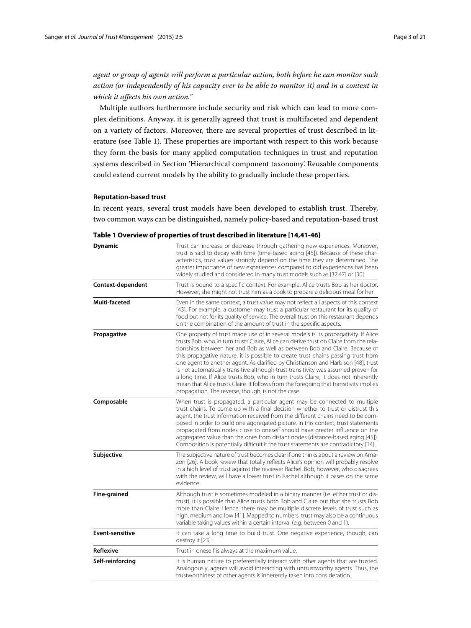*agent or group of agents will perform a particular action, both before he can monitor such action (or independently of his capacity ever to be able to monitor it) and in a context in which it affects his own action.*"

Multiple authors furthermore include security and risk which can lead to more complex definitions. Anyway, it is generally agreed that trust is multifaceted and dependent on a variety of factors. Moreover, there are several properties of trust described in literature (see Table [1\)](#page-2-0). These properties are important with respect to this work because they form the basis for many applied computation techniques in trust and reputation systems described in Section ['Hierarchical component taxonomy'.](#page-5-0) Reusable components could extend current models by the ability to gradually include these properties.

#### **Reputation-based trust**

In recent years, several trust models have been developed to establish trust. Thereby, two common ways can be distinguished, namely policy-based and reputation-based trust

<span id="page-2-0"></span>

| <b>Dynamic</b>         | Trust can increase or decrease through gathering new experiences. Moreover,<br>trust is said to decay with time (time-based aging [45]). Because of these char-<br>acteristics, trust values strongly depend on the time they are determined. The<br>greater importance of new experiences compared to old experiences has been<br>widely studied and considered in many trust models such as [32,47] or [30].                                                                                                                                                                                                                                                                                                                                                     |
|------------------------|--------------------------------------------------------------------------------------------------------------------------------------------------------------------------------------------------------------------------------------------------------------------------------------------------------------------------------------------------------------------------------------------------------------------------------------------------------------------------------------------------------------------------------------------------------------------------------------------------------------------------------------------------------------------------------------------------------------------------------------------------------------------|
| Context-dependent      | Trust is bound to a specific context. For example, Alice trusts Bob as her doctor.<br>However, she might not trust him as a cook to prepare a delicious meal for her.                                                                                                                                                                                                                                                                                                                                                                                                                                                                                                                                                                                              |
| Multi-faceted          | Even in the same context, a trust value may not reflect all aspects of this context<br>[43]. For example, a customer may trust a particular restaurant for its quality of<br>food but not for its quality of service. The overall trust on this restaurant depends<br>on the combination of the amount of trust in the specific aspects.                                                                                                                                                                                                                                                                                                                                                                                                                           |
| Propagative            | One property of trust made use of in several models is its propagativity. If Alice<br>trusts Bob, who in turn trusts Claire, Alice can derive trust on Claire from the rela-<br>tionships between her and Bob as well as between Bob and Claire. Because of<br>this propagative nature, it is possible to create trust chains passing trust from<br>one agent to another agent. As clarified by Christianson and Harbison [48], trust<br>is not automatically transitive although trust transitivity was assumed proven for<br>a long time. If Alice trusts Bob, who in turn trusts Claire, it does not inherently<br>mean that Alice trusts Claire. It follows from the foregoing that transitivity implies<br>propagation. The reverse, though, is not the case. |
| Composable             | When trust is propagated, a particular agent may be connected to multiple<br>trust chains. To come up with a final decision whether to trust or distrust this<br>agent, the trust information received from the different chains need to be com-<br>posed in order to build one aggregated picture. In this context, trust statements<br>propagated from nodes close to oneself should have greater influence on the<br>aggregated value than the ones from distant nodes (distance-based aging [45]).<br>Composition is potentially difficult if the trust statements are contradictory [14].                                                                                                                                                                     |
| Subjective             | The subjective nature of trust becomes clear if one thinks about a review on Ama-<br>zon [26]. A book review that totally reflects Alice's opinion will probably resolve<br>in a high level of trust against the reviewer Rachel. Bob, however, who disagrees<br>with the review, will have a lower trust in Rachel although it bases on the same<br>evidence.                                                                                                                                                                                                                                                                                                                                                                                                     |
| Fine-grained           | Although trust is sometimes modeled in a binary manner (i.e. either trust or dis-<br>trust), it is possible that Alice trusts both Bob and Claire but that she trusts Bob<br>more than Claire. Hence, there may be multiple discrete levels of trust such as<br>high, medium and low [41]. Mapped to numbers, trust may also be a continuous<br>variable taking values within a certain interval (e.g. between 0 and 1).                                                                                                                                                                                                                                                                                                                                           |
| <b>Event-sensitive</b> | It can take a long time to build trust. One negative experience, though, can<br>destroy it [23].                                                                                                                                                                                                                                                                                                                                                                                                                                                                                                                                                                                                                                                                   |
| Reflexive              | Trust in oneself is always at the maximum value.                                                                                                                                                                                                                                                                                                                                                                                                                                                                                                                                                                                                                                                                                                                   |
| Self-reinforcing       | It is human nature to preferentially interact with other agents that are trusted.<br>Analogously, agents will avoid interacting with untrustworthy agents. Thus, the<br>trustworthiness of other agents is inherently taken into consideration.                                                                                                                                                                                                                                                                                                                                                                                                                                                                                                                    |

**Table 1 Overview of properties of trust described in literature [\[14,](#page-19-0)[41-](#page-20-0)[46\]](#page-20-1)**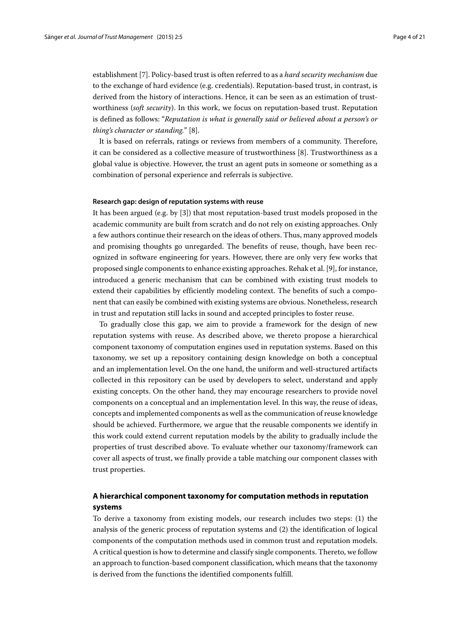establishment [\[7\]](#page-18-6). Policy-based trust is often referred to as a *hard security mechanism* due to the exchange of hard evidence (e.g. credentials). Reputation-based trust, in contrast, is derived from the history of interactions. Hence, it can be seen as an estimation of trustworthiness (*soft security*). In this work, we focus on reputation-based trust. Reputation is defined as follows: "*Reputation is what is generally said or believed about a person's or thing's character or standing.*" [\[8\]](#page-18-7).

It is based on referrals, ratings or reviews from members of a community. Therefore, it can be considered as a collective measure of trustworthiness [\[8\]](#page-18-7). Trustworthiness as a global value is objective. However, the trust an agent puts in someone or something as a combination of personal experience and referrals is subjective.

## **Research gap: design of reputation systems with reuse**

It has been argued (e.g. by [\[3\]](#page-18-2)) that most reputation-based trust models proposed in the academic community are built from scratch and do not rely on existing approaches. Only a few authors continue their research on the ideas of others. Thus, many approved models and promising thoughts go unregarded. The benefits of reuse, though, have been recognized in software engineering for years. However, there are only very few works that proposed single components to enhance existing approaches. Rehak et al. [\[9\]](#page-19-5), for instance, introduced a generic mechanism that can be combined with existing trust models to extend their capabilities by efficiently modeling context. The benefits of such a component that can easily be combined with existing systems are obvious. Nonetheless, research in trust and reputation still lacks in sound and accepted principles to foster reuse.

To gradually close this gap, we aim to provide a framework for the design of new reputation systems with reuse. As described above, we thereto propose a hierarchical component taxonomy of computation engines used in reputation systems. Based on this taxonomy, we set up a repository containing design knowledge on both a conceptual and an implementation level. On the one hand, the uniform and well-structured artifacts collected in this repository can be used by developers to select, understand and apply existing concepts. On the other hand, they may encourage researchers to provide novel components on a conceptual and an implementation level. In this way, the reuse of ideas, concepts and implemented components as well as the communication of reuse knowledge should be achieved. Furthermore, we argue that the reusable components we identify in this work could extend current reputation models by the ability to gradually include the properties of trust described above. To evaluate whether our taxonomy/framework can cover all aspects of trust, we finally provide a table matching our component classes with trust properties.

# **A hierarchical component taxonomy for computation methods in reputation systems**

To derive a taxonomy from existing models, our research includes two steps: (1) the analysis of the generic process of reputation systems and (2) the identification of logical components of the computation methods used in common trust and reputation models. A critical question is how to determine and classify single components. Thereto, we follow an approach to function-based component classification, which means that the taxonomy is derived from the functions the identified components fulfill.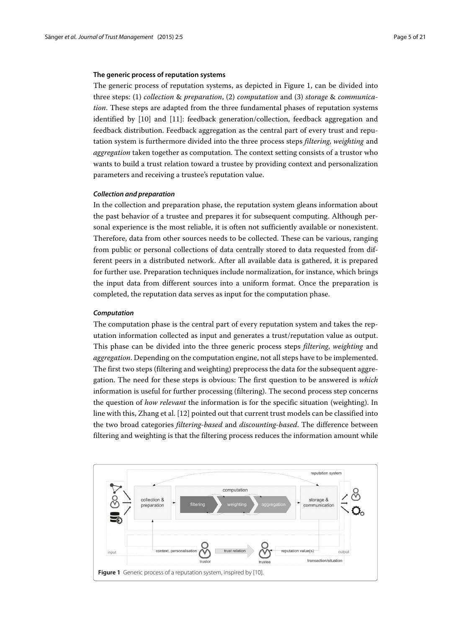## **The generic process of reputation systems**

The generic process of reputation systems, as depicted in Figure [1,](#page-4-0) can be divided into three steps: (1) *collection* & *preparation*, (2) *computation* and (3) *storage* & *communication*. These steps are adapted from the three fundamental phases of reputation systems identified by [\[10\]](#page-19-6) and [\[11\]](#page-19-7): feedback generation/collection, feedback aggregation and feedback distribution. Feedback aggregation as the central part of every trust and reputation system is furthermore divided into the three process steps *filtering*, *weighting* and *aggregation* taken together as computation. The context setting consists of a trustor who wants to build a trust relation toward a trustee by providing context and personalization parameters and receiving a trustee's reputation value.

#### *Collection and preparation*

In the collection and preparation phase, the reputation system gleans information about the past behavior of a trustee and prepares it for subsequent computing. Although personal experience is the most reliable, it is often not sufficiently available or nonexistent. Therefore, data from other sources needs to be collected. These can be various, ranging from public or personal collections of data centrally stored to data requested from different peers in a distributed network. After all available data is gathered, it is prepared for further use. Preparation techniques include normalization, for instance, which brings the input data from different sources into a uniform format. Once the preparation is completed, the reputation data serves as input for the computation phase.

#### *Computation*

The computation phase is the central part of every reputation system and takes the reputation information collected as input and generates a trust/reputation value as output. This phase can be divided into the three generic process steps *filtering*, *weighting* and *aggregation*. Depending on the computation engine, not all steps have to be implemented. The first two steps (filtering and weighting) preprocess the data for the subsequent aggregation. The need for these steps is obvious: The first question to be answered is *which* information is useful for further processing (filtering). The second process step concerns the question of *how relevant* the information is for the specific situation (weighting). In line with this, Zhang et al. [\[12\]](#page-19-8) pointed out that current trust models can be classified into the two broad categories *filtering-based* and *discounting-based*. The difference between filtering and weighting is that the filtering process reduces the information amount while

<span id="page-4-0"></span>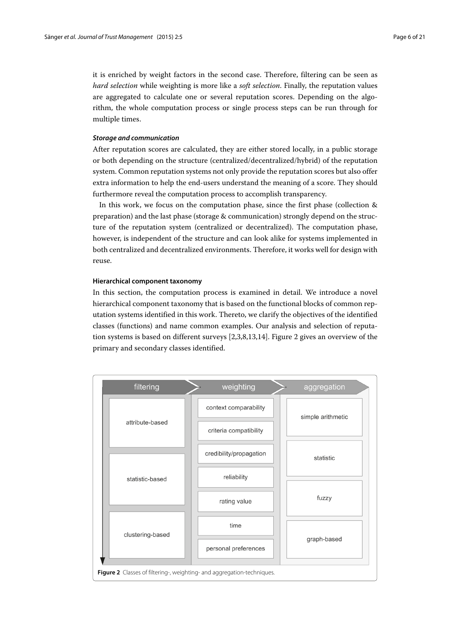it is enriched by weight factors in the second case. Therefore, filtering can be seen as *hard selection* while weighting is more like a *soft selection*. Finally, the reputation values are aggregated to calculate one or several reputation scores. Depending on the algorithm, the whole computation process or single process steps can be run through for multiple times.

## *Storage and communication*

After reputation scores are calculated, they are either stored locally, in a public storage or both depending on the structure (centralized/decentralized/hybrid) of the reputation system. Common reputation systems not only provide the reputation scores but also offer extra information to help the end-users understand the meaning of a score. They should furthermore reveal the computation process to accomplish transparency.

In this work, we focus on the computation phase, since the first phase (collection & preparation) and the last phase (storage & communication) strongly depend on the structure of the reputation system (centralized or decentralized). The computation phase, however, is independent of the structure and can look alike for systems implemented in both centralized and decentralized environments. Therefore, it works well for design with reuse.

#### <span id="page-5-0"></span>**Hierarchical component taxonomy**

In this section, the computation process is examined in detail. We introduce a novel hierarchical component taxonomy that is based on the functional blocks of common reputation systems identified in this work. Thereto, we clarify the objectives of the identified classes (functions) and name common examples. Our analysis and selection of reputation systems is based on different surveys [\[2](#page-18-1)[,3,](#page-18-2)[8](#page-18-7)[,13,](#page-19-9)[14\]](#page-19-0). Figure [2](#page-5-1) gives an overview of the primary and secondary classes identified.

<span id="page-5-1"></span>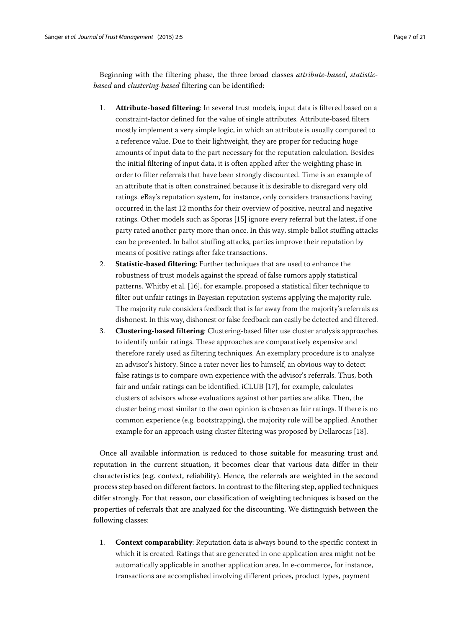Beginning with the filtering phase, the three broad classes *attribute-based*, *statisticbased* and *clustering-based* filtering can be identified:

- 1. **Attribute-based filtering**: In several trust models, input data is filtered based on a constraint-factor defined for the value of single attributes. Attribute-based filters mostly implement a very simple logic, in which an attribute is usually compared to a reference value. Due to their lightweight, they are proper for reducing huge amounts of input data to the part necessary for the reputation calculation. Besides the initial filtering of input data, it is often applied after the weighting phase in order to filter referrals that have been strongly discounted. Time is an example of an attribute that is often constrained because it is desirable to disregard very old ratings. eBay's reputation system, for instance, only considers transactions having occurred in the last 12 months for their overview of positive, neutral and negative ratings. Other models such as Sporas [\[15\]](#page-19-10) ignore every referral but the latest, if one party rated another party more than once. In this way, simple ballot stuffing attacks can be prevented. In ballot stuffing attacks, parties improve their reputation by means of positive ratings after fake transactions.
- 2. **Statistic-based filtering**: Further techniques that are used to enhance the robustness of trust models against the spread of false rumors apply statistical patterns. Whitby et al. [\[16\]](#page-19-11), for example, proposed a statistical filter technique to filter out unfair ratings in Bayesian reputation systems applying the majority rule. The majority rule considers feedback that is far away from the majority's referrals as dishonest. In this way, dishonest or false feedback can easily be detected and filtered.
- 3. **Clustering-based filtering**: Clustering-based filter use cluster analysis approaches to identify unfair ratings. These approaches are comparatively expensive and therefore rarely used as filtering techniques. An exemplary procedure is to analyze an advisor's history. Since a rater never lies to himself, an obvious way to detect false ratings is to compare own experience with the advisor's referrals. Thus, both fair and unfair ratings can be identified. iCLUB [\[17\]](#page-19-12), for example, calculates clusters of advisors whose evaluations against other parties are alike. Then, the cluster being most similar to the own opinion is chosen as fair ratings. If there is no common experience (e.g. bootstrapping), the majority rule will be applied. Another example for an approach using cluster filtering was proposed by Dellarocas [\[18\]](#page-19-13).

Once all available information is reduced to those suitable for measuring trust and reputation in the current situation, it becomes clear that various data differ in their characteristics (e.g. context, reliability). Hence, the referrals are weighted in the second process step based on different factors. In contrast to the filtering step, applied techniques differ strongly. For that reason, our classification of weighting techniques is based on the properties of referrals that are analyzed for the discounting. We distinguish between the following classes:

1. **Context comparability**: Reputation data is always bound to the specific context in which it is created. Ratings that are generated in one application area might not be automatically applicable in another application area. In e-commerce, for instance, transactions are accomplished involving different prices, product types, payment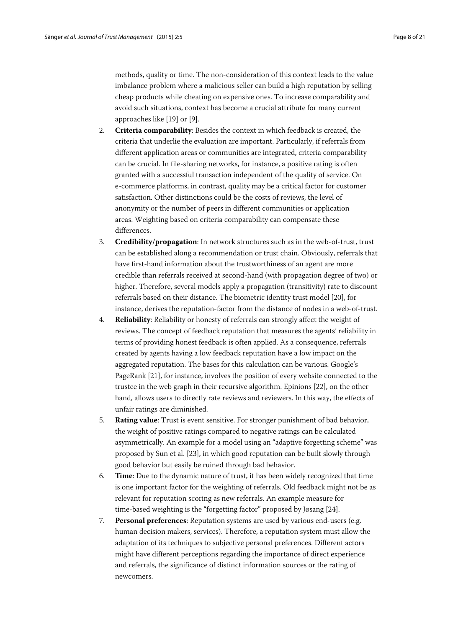methods, quality or time. The non-consideration of this context leads to the value imbalance problem where a malicious seller can build a high reputation by selling cheap products while cheating on expensive ones. To increase comparability and avoid such situations, context has become a crucial attribute for many current approaches like [\[19\]](#page-19-14) or [\[9\]](#page-19-5).

- 2. **Criteria comparability**: Besides the context in which feedback is created, the criteria that underlie the evaluation are important. Particularly, if referrals from different application areas or communities are integrated, criteria comparability can be crucial. In file-sharing networks, for instance, a positive rating is often granted with a successful transaction independent of the quality of service. On e-commerce platforms, in contrast, quality may be a critical factor for customer satisfaction. Other distinctions could be the costs of reviews, the level of anonymity or the number of peers in different communities or application areas. Weighting based on criteria comparability can compensate these differences.
- 3. **Credibility/propagation**: In network structures such as in the web-of-trust, trust can be established along a recommendation or trust chain. Obviously, referrals that have first-hand information about the trustworthiness of an agent are more credible than referrals received at second-hand (with propagation degree of two) or higher. Therefore, several models apply a propagation (transitivity) rate to discount referrals based on their distance. The biometric identity trust model [\[20\]](#page-19-15), for instance, derives the reputation-factor from the distance of nodes in a web-of-trust.
- 4. **Reliability**: Reliability or honesty of referrals can strongly affect the weight of reviews. The concept of feedback reputation that measures the agents' reliability in terms of providing honest feedback is often applied. As a consequence, referrals created by agents having a low feedback reputation have a low impact on the aggregated reputation. The bases for this calculation can be various. Google's PageRank [\[21\]](#page-19-16), for instance, involves the position of every website connected to the trustee in the web graph in their recursive algorithm. Epinions [\[22\]](#page-19-17), on the other hand, allows users to directly rate reviews and reviewers. In this way, the effects of unfair ratings are diminished.
- 5. **Rating value**: Trust is event sensitive. For stronger punishment of bad behavior, the weight of positive ratings compared to negative ratings can be calculated asymmetrically. An example for a model using an "adaptive forgetting scheme" was proposed by Sun et al. [\[23\]](#page-19-4), in which good reputation can be built slowly through good behavior but easily be ruined through bad behavior.
- 6. **Time**: Due to the dynamic nature of trust, it has been widely recognized that time is one important factor for the weighting of referrals. Old feedback might not be as relevant for reputation scoring as new referrals. An example measure for time-based weighting is the "forgetting factor" proposed by Jøsang [\[24\]](#page-19-18).
- 7. **Personal preferences**: Reputation systems are used by various end-users (e.g. human decision makers, services). Therefore, a reputation system must allow the adaptation of its techniques to subjective personal preferences. Different actors might have different perceptions regarding the importance of direct experience and referrals, the significance of distinct information sources or the rating of newcomers.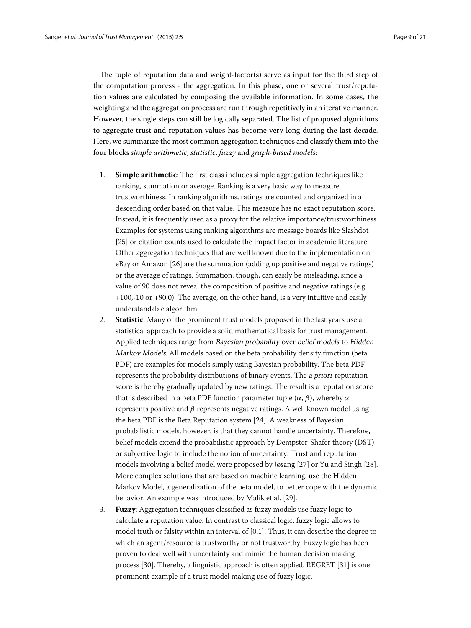The tuple of reputation data and weight-factor(s) serve as input for the third step of the computation process - the aggregation. In this phase, one or several trust/reputation values are calculated by composing the available information. In some cases, the weighting and the aggregation process are run through repetitively in an iterative manner. However, the single steps can still be logically separated. The list of proposed algorithms to aggregate trust and reputation values has become very long during the last decade. Here, we summarize the most common aggregation techniques and classify them into the four blocks *simple arithmetic*, *statistic*, *fuzzy* and *graph-based models*:

- 1. **Simple arithmetic**: The first class includes simple aggregation techniques like ranking, summation or average. Ranking is a very basic way to measure trustworthiness. In ranking algorithms, ratings are counted and organized in a descending order based on that value. This measure has no exact reputation score. Instead, it is frequently used as a proxy for the relative importance/trustworthiness. Examples for systems using ranking algorithms are message boards like Slashdot [\[25\]](#page-19-19) or citation counts used to calculate the impact factor in academic literature. Other aggregation techniques that are well known due to the implementation on eBay or Amazon [\[26\]](#page-19-3) are the summation (adding up positive and negative ratings) or the average of ratings. Summation, though, can easily be misleading, since a value of 90 does not reveal the composition of positive and negative ratings (e.g. +100,-10 or +90,0). The average, on the other hand, is a very intuitive and easily understandable algorithm.
- 2. **Statistic**: Many of the prominent trust models proposed in the last years use a statistical approach to provide a solid mathematical basis for trust management. Applied techniques range from Bayesian probability over belief models to Hidden Markov Models. All models based on the beta probability density function (beta PDF) are examples for models simply using Bayesian probability. The beta PDF represents the probability distributions of binary events. The <sup>a</sup> priori reputation score is thereby gradually updated by new ratings. The result is a reputation score that is described in a beta PDF function parameter tuple  $(\alpha, \beta)$ , whereby  $\alpha$ represents positive and β represents negative ratings. A well known model using the beta PDF is the Beta Reputation system [\[24\]](#page-19-18). A weakness of Bayesian probabilistic models, however, is that they cannot handle uncertainty. Therefore, belief models extend the probabilistic approach by Dempster-Shafer theory (DST) or subjective logic to include the notion of uncertainty. Trust and reputation models involving a belief model were proposed by Jøsang [\[27\]](#page-19-20) or Yu and Singh [\[28\]](#page-19-21). More complex solutions that are based on machine learning, use the Hidden Markov Model, a generalization of the beta model, to better cope with the dynamic behavior. An example was introduced by Malik et al. [\[29\]](#page-19-22).
- 3. **Fuzzy**: Aggregation techniques classified as fuzzy models use fuzzy logic to calculate a reputation value. In contrast to classical logic, fuzzy logic allows to model truth or falsity within an interval of [0,1]. Thus, it can describe the degree to which an agent/resource is trustworthy or not trustworthy. Fuzzy logic has been proven to deal well with uncertainty and mimic the human decision making process [\[30\]](#page-19-2). Thereby, a linguistic approach is often applied. REGRET [\[31\]](#page-19-23) is one prominent example of a trust model making use of fuzzy logic.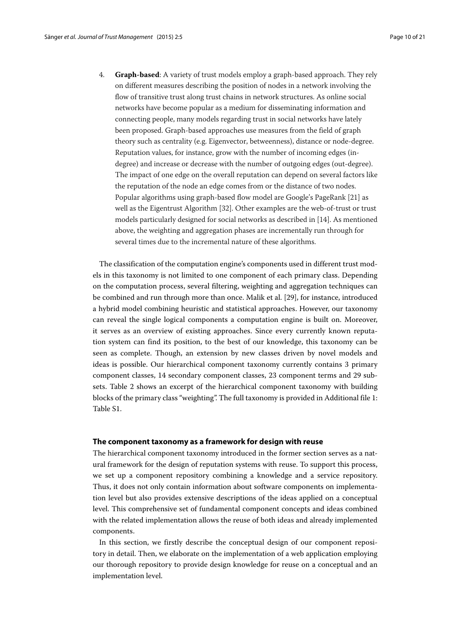4. **Graph-based**: A variety of trust models employ a graph-based approach. They rely on different measures describing the position of nodes in a network involving the flow of transitive trust along trust chains in network structures. As online social networks have become popular as a medium for disseminating information and connecting people, many models regarding trust in social networks have lately been proposed. Graph-based approaches use measures from the field of graph theory such as centrality (e.g. Eigenvector, betweenness), distance or node-degree. Reputation values, for instance, grow with the number of incoming edges (indegree) and increase or decrease with the number of outgoing edges (out-degree). The impact of one edge on the overall reputation can depend on several factors like the reputation of the node an edge comes from or the distance of two nodes. Popular algorithms using graph-based flow model are Google's PageRank [\[21\]](#page-19-16) as well as the Eigentrust Algorithm [\[32\]](#page-19-1). Other examples are the web-of-trust or trust models particularly designed for social networks as described in [\[14\]](#page-19-0). As mentioned above, the weighting and aggregation phases are incrementally run through for several times due to the incremental nature of these algorithms.

The classification of the computation engine's components used in different trust models in this taxonomy is not limited to one component of each primary class. Depending on the computation process, several filtering, weighting and aggregation techniques can be combined and run through more than once. Malik et al. [\[29\]](#page-19-22), for instance, introduced a hybrid model combining heuristic and statistical approaches. However, our taxonomy can reveal the single logical components a computation engine is built on. Moreover, it serves as an overview of existing approaches. Since every currently known reputation system can find its position, to the best of our knowledge, this taxonomy can be seen as complete. Though, an extension by new classes driven by novel models and ideas is possible. Our hierarchical component taxonomy currently contains 3 primary component classes, 14 secondary component classes, 23 component terms and 29 subsets. Table [2](#page-10-0) shows an excerpt of the hierarchical component taxonomy with building blocks of the primary class "weighting". The full taxonomy is provided in Additional file [1:](#page-18-8) Table S1.

## **The component taxonomy as a framework for design with reuse**

The hierarchical component taxonomy introduced in the former section serves as a natural framework for the design of reputation systems with reuse. To support this process, we set up a component repository combining a knowledge and a service repository. Thus, it does not only contain information about software components on implementation level but also provides extensive descriptions of the ideas applied on a conceptual level. This comprehensive set of fundamental component concepts and ideas combined with the related implementation allows the reuse of both ideas and already implemented components.

In this section, we firstly describe the conceptual design of our component repository in detail. Then, we elaborate on the implementation of a web application employing our thorough repository to provide design knowledge for reuse on a conceptual and an implementation level.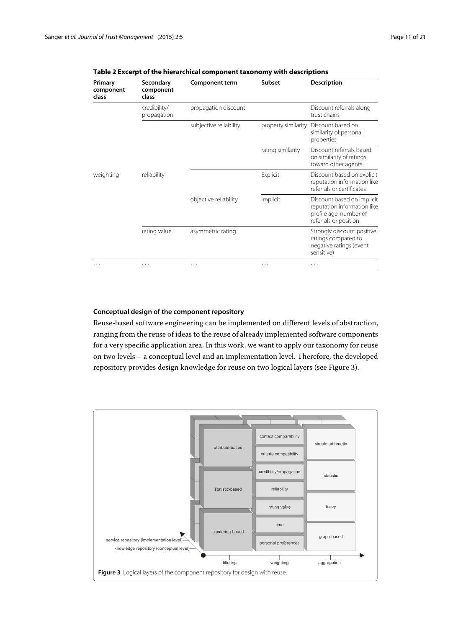| Primary<br>component<br>class | Secondary<br>component<br>class | <b>Component term</b>  | <b>Subset</b>       | <b>Description</b>                                                                                           |  |  |
|-------------------------------|---------------------------------|------------------------|---------------------|--------------------------------------------------------------------------------------------------------------|--|--|
|                               | credibility/<br>propagation     | propagation discount   |                     | Discount referrals along<br>trust chains                                                                     |  |  |
|                               |                                 | subjective reliability | property similarity | Discount based on<br>similarity of personal<br>properties                                                    |  |  |
|                               |                                 |                        | rating similarity   | Discount referrals based<br>on similarity of ratings<br>toward other agents                                  |  |  |
| weighting                     | reliability                     |                        | Explicit            | Discount based on explicit<br>reputation information like<br>referrals or certificates                       |  |  |
|                               |                                 | objective reliability  | Implicit            | Discount based on implicit<br>reputation information like<br>profile age, number of<br>referrals or position |  |  |
|                               | rating value                    | asymmetric rating      |                     | Strongly discount positive<br>ratings compared to<br>negative ratings (event<br>sensitive)                   |  |  |
|                               | .                               | .                      | .                   | .                                                                                                            |  |  |

<span id="page-10-0"></span>**Table 2 Excerpt of the hierarchical component taxonomy with descriptions**

# **Conceptual design of the component repository**

Reuse-based software engineering can be implemented on different levels of abstraction, ranging from the reuse of ideas to the reuse of already implemented software components for a very specific application area. In this work, we want to apply our taxonomy for reuse on two levels – a conceptual level and an implementation level. Therefore, the developed repository provides design knowledge for reuse on two logical layers (see Figure [3\)](#page-10-1).

<span id="page-10-1"></span>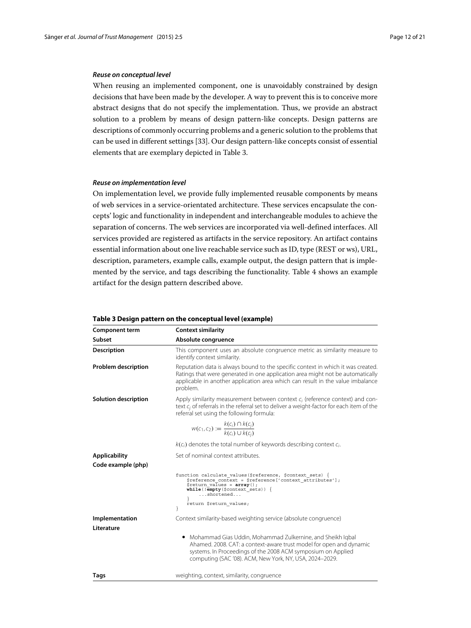## *Reuse on conceptual level*

When reusing an implemented component, one is unavoidably constrained by design decisions that have been made by the developer. A way to prevent this is to conceive more abstract designs that do not specify the implementation. Thus, we provide an abstract solution to a problem by means of design pattern-like concepts. Design patterns are descriptions of commonly occurring problems and a generic solution to the problems that can be used in different settings [\[33\]](#page-19-24). Our design pattern-like concepts consist of essential elements that are exemplary depicted in Table [3.](#page-11-0)

#### *Reuse on implementation level*

On implementation level, we provide fully implemented reusable components by means of web services in a service-orientated architecture. These services encapsulate the concepts' logic and functionality in independent and interchangeable modules to achieve the separation of concerns. The web services are incorporated via well-defined interfaces. All services provided are registered as artifacts in the service repository. An artifact contains essential information about one live reachable service such as ID, type (REST or ws), URL, description, parameters, example calls, example output, the design pattern that is implemented by the service, and tags describing the functionality. Table [4](#page-12-0) shows an example artifact for the design pattern described above.

<span id="page-11-0"></span>

| <b>Component term</b>      | <b>Context similarity</b>                                                                                                                                                                                                                                        |  |  |  |  |  |  |
|----------------------------|------------------------------------------------------------------------------------------------------------------------------------------------------------------------------------------------------------------------------------------------------------------|--|--|--|--|--|--|
| <b>Subset</b>              | Absolute congruence                                                                                                                                                                                                                                              |  |  |  |  |  |  |
| <b>Description</b>         | This component uses an absolute congruence metric as similarity measure to<br>identify context similarity.                                                                                                                                                       |  |  |  |  |  |  |
| <b>Problem description</b> | Reputation data is always bound to the specific context in which it was created.<br>Ratings that were generated in one application area might not be automatically<br>applicable in another application area which can result in the value imbalance<br>problem. |  |  |  |  |  |  |
| Solution description       | Apply similarity measurement between context $c_i$ (reference context) and con-<br>text $c_i$ of referrals in the referral set to deliver a weight-factor for each item of the<br>referral set using the following formula:                                      |  |  |  |  |  |  |
|                            | $w(c_1, c_2) := \frac{k(c_i) \cap k(c_j)}{k(c_i) \cup k(c_i)}$                                                                                                                                                                                                   |  |  |  |  |  |  |
|                            | $k(c_i)$ denotes the total number of keywords describing context $c_i$ .                                                                                                                                                                                         |  |  |  |  |  |  |
| <b>Applicability</b>       | Set of nominal context attributes.                                                                                                                                                                                                                               |  |  |  |  |  |  |
| Code example (php)         |                                                                                                                                                                                                                                                                  |  |  |  |  |  |  |
|                            | function calculate values (\$reference, \$context sets) {<br>\$reference context = \$reference['context attributes'];<br>$$return values = array()$ ;<br>$while(!empty(\xi)$ context sets)) {<br>shortened<br>return \$return values;                            |  |  |  |  |  |  |
| Implementation             | Context similarity-based weighting service (absolute congruence)                                                                                                                                                                                                 |  |  |  |  |  |  |
| Literature                 |                                                                                                                                                                                                                                                                  |  |  |  |  |  |  |
|                            | • Mohammad Gias Uddin, Mohammad Zulkernine, and Sheikh Igbal<br>Ahamed. 2008. CAT: a context-aware trust model for open and dynamic<br>systems. In Proceedings of the 2008 ACM symposium on Applied<br>computing (SAC '08). ACM, New York, NY, USA, 2024-2029.   |  |  |  |  |  |  |
| Tags                       | weighting, context, similarity, congruence                                                                                                                                                                                                                       |  |  |  |  |  |  |

**Table 3 Design pattern on the conceptual level (example)**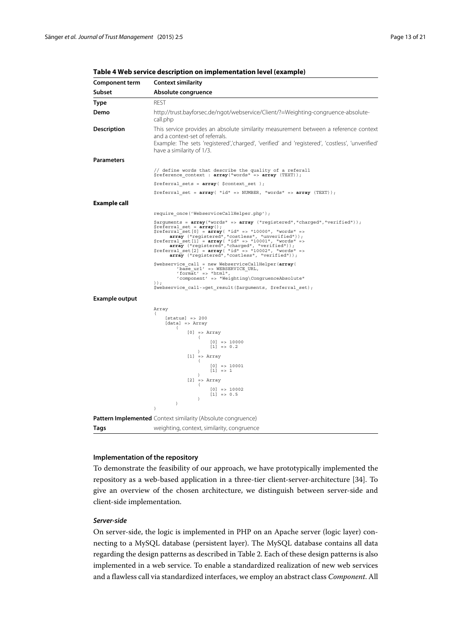| <b>Component term</b> | <b>Context similarity</b>                                                                                                                                                                                                                                                                                                                                                                                 |  |  |  |  |  |  |
|-----------------------|-----------------------------------------------------------------------------------------------------------------------------------------------------------------------------------------------------------------------------------------------------------------------------------------------------------------------------------------------------------------------------------------------------------|--|--|--|--|--|--|
| Subset                | Absolute congruence                                                                                                                                                                                                                                                                                                                                                                                       |  |  |  |  |  |  |
| <b>Type</b>           | <b>REST</b>                                                                                                                                                                                                                                                                                                                                                                                               |  |  |  |  |  |  |
| Demo                  | http://trust.bayforsec.de/ngot/webservice/Client/?=Weighting-congruence-absolute-<br>call.php                                                                                                                                                                                                                                                                                                             |  |  |  |  |  |  |
| Description           | This service provides an absolute similarity measurement between a reference context<br>and a context-set of referrals.<br>Example: The sets 'registered','charged', 'verified' and 'registered', 'costless', 'unverified'<br>have a similarity of 1/3.                                                                                                                                                   |  |  |  |  |  |  |
| <b>Parameters</b>     |                                                                                                                                                                                                                                                                                                                                                                                                           |  |  |  |  |  |  |
|                       | // define words that describe the quality of a referall<br>\$reference context : $array("words" => array (TEXT));$                                                                                                                                                                                                                                                                                        |  |  |  |  |  |  |
|                       | \$referral sets = array(\$context set);                                                                                                                                                                                                                                                                                                                                                                   |  |  |  |  |  |  |
|                       | \$referral set = $array($ "id" => NUMBER, "words" => $array($ (TEXT) $);$                                                                                                                                                                                                                                                                                                                                 |  |  |  |  |  |  |
| <b>Example call</b>   |                                                                                                                                                                                                                                                                                                                                                                                                           |  |  |  |  |  |  |
|                       | require once('WebserviceCallHelper.php');                                                                                                                                                                                                                                                                                                                                                                 |  |  |  |  |  |  |
|                       | \$arguments = array("words" => array ("registered","charged","verified"));<br>$$referral set = array()$ ;<br>Steferral_set [0] = array ("id" => "10000", "words" =><br>Steferral_set [0] = array ("id" => "10000", "words" =><br>array ("registered","costless", "unverified"));<br>Steferral_set [1] = array ("id" => "10001", "words" =><br>Steferral<br>array ("registered", "costless", "verified")); |  |  |  |  |  |  |
|                       | \$webservice call = new WebserviceCallHelper(array(<br>'base url' => WEBSERVICE URL,<br>'format' => "html",<br>'component' => "Weighting\CongruenceAbsolute"                                                                                                                                                                                                                                              |  |  |  |  |  |  |
|                       | ));<br>\$webservice call->get result(\$arguments, \$referral set);                                                                                                                                                                                                                                                                                                                                        |  |  |  |  |  |  |
| Example output        |                                                                                                                                                                                                                                                                                                                                                                                                           |  |  |  |  |  |  |
|                       | Array                                                                                                                                                                                                                                                                                                                                                                                                     |  |  |  |  |  |  |
|                       | $[status]$ => 200<br>[data] => Array                                                                                                                                                                                                                                                                                                                                                                      |  |  |  |  |  |  |
|                       | $[0] \Rightarrow$ Array<br>$\left($<br>$[0]$ => 10000<br>$[1]$ => 0.2<br>$\lambda$<br>$[1] \Rightarrow$ Array<br>(<br>$[0]$ => 10001<br>$[1]$ => 1<br>$\lambda$<br>$[2] \Rightarrow$ Array<br>$\left($<br>$[0]$ => 10002<br>$[1]$ => 0.5<br>$\lambda$<br>$\left( \right)$                                                                                                                                 |  |  |  |  |  |  |
|                       | <b>Pattern Implemented</b> Context similarity (Absolute congruence)                                                                                                                                                                                                                                                                                                                                       |  |  |  |  |  |  |
| Tags                  | weighting, context, similarity, congruence                                                                                                                                                                                                                                                                                                                                                                |  |  |  |  |  |  |

<span id="page-12-0"></span>**Table 4 Web service description on implementation level (example)**

## **Implementation of the repository**

To demonstrate the feasibility of our approach, we have prototypically implemented the repository as a web-based application in a three-tier client-server-architecture [\[34\]](#page-19-25). To give an overview of the chosen architecture, we distinguish between server-side and client-side implementation.

# *Server-side*

On server-side, the logic is implemented in PHP on an Apache server (logic layer) connecting to a MySQL database (persistent layer). The MySQL database contains all data regarding the design patterns as described in Table [2.](#page-10-0) Each of these design patterns is also implemented in a web service. To enable a standardized realization of new web services and a flawless call via standardized interfaces, we employ an abstract class *Component*. All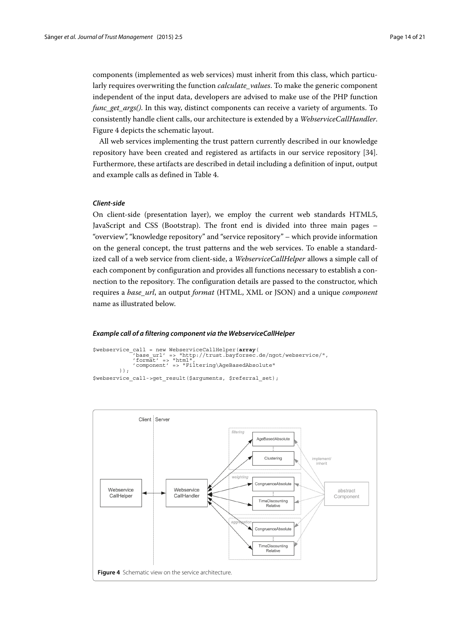components (implemented as web services) must inherit from this class, which particularly requires overwriting the function *calculate\_values*. To make the generic component independent of the input data, developers are advised to make use of the PHP function *func\_get\_args()*. In this way, distinct components can receive a variety of arguments. To consistently handle client calls, our architecture is extended by a *WebserviceCallHandler*. Figure [4](#page-13-0) depicts the schematic layout.

All web services implementing the trust pattern currently described in our knowledge repository have been created and registered as artifacts in our service repository [\[34\]](#page-19-25). Furthermore, these artifacts are described in detail including a definition of input, output and example calls as defined in Table [4.](#page-12-0)

## <span id="page-13-1"></span>*Client-side*

On client-side (presentation layer), we employ the current web standards HTML5, JavaScript and CSS (Bootstrap). The front end is divided into three main pages – "overview", "knowledge repository" and "service repository" – which provide information on the general concept, the trust patterns and the web services. To enable a standardized call of a web service from client-side, a *WebserviceCallHelper* allows a simple call of each component by configuration and provides all functions necessary to establish a connection to the repository. The configuration details are passed to the constructor, which requires a *base\_url*, an output *format* (HTML, XML or JSON) and a unique *component* name as illustrated below.

#### *Example call of a filtering component via the WebserviceCallHelper*

```
$webservice_call = new WebserviceCallHelper(array(
                 'base_url' => "http://trust.bayforsec.de/ngot/webservice/",<br>'format' => "html",<br>'component' => "Filtering\AgeBasedAbsolute"
           ));
$webservice_call->get_result($arguments, $referral_set);
```
<span id="page-13-0"></span>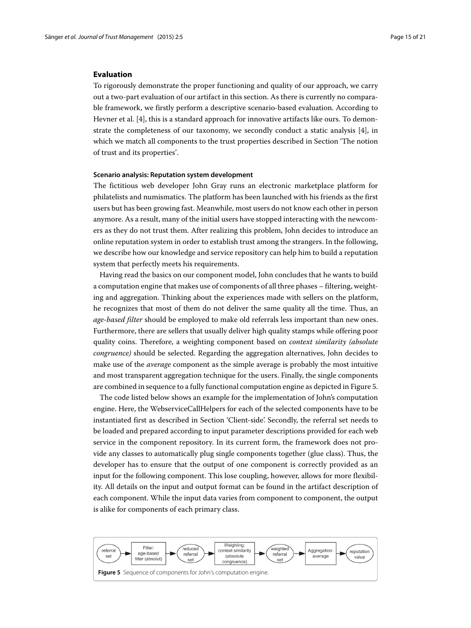#### **Evaluation**

To rigorously demonstrate the proper functioning and quality of our approach, we carry out a two-part evaluation of our artifact in this section. As there is currently no comparable framework, we firstly perform a descriptive scenario-based evaluation. According to Hevner et al. [\[4\]](#page-18-3), this is a standard approach for innovative artifacts like ours. To demonstrate the completeness of our taxonomy, we secondly conduct a static analysis [\[4\]](#page-18-3), in which we match all components to the trust properties described in Section ['The notion](#page-1-0) [of trust and its properties'](#page-1-0).

## **Scenario analysis: Reputation system development**

The fictitious web developer John Gray runs an electronic marketplace platform for philatelists and numismatics. The platform has been launched with his friends as the first users but has been growing fast. Meanwhile, most users do not know each other in person anymore. As a result, many of the initial users have stopped interacting with the newcomers as they do not trust them. After realizing this problem, John decides to introduce an online reputation system in order to establish trust among the strangers. In the following, we describe how our knowledge and service repository can help him to build a reputation system that perfectly meets his requirements.

Having read the basics on our component model, John concludes that he wants to build a computation engine that makes use of components of all three phases – filtering, weighting and aggregation. Thinking about the experiences made with sellers on the platform, he recognizes that most of them do not deliver the same quality all the time. Thus, an *age-based filter* should be employed to make old referrals less important than new ones. Furthermore, there are sellers that usually deliver high quality stamps while offering poor quality coins. Therefore, a weighting component based on *context similarity (absolute congruence)* should be selected. Regarding the aggregation alternatives, John decides to make use of the *average* component as the simple average is probably the most intuitive and most transparent aggregation technique for the users. Finally, the single components are combined in sequence to a fully functional computation engine as depicted in Figure [5.](#page-14-0)

The code listed below shows an example for the implementation of John's computation engine. Here, the WebserviceCallHelpers for each of the selected components have to be instantiated first as described in Section ['Client-side'.](#page-13-1) Secondly, the referral set needs to be loaded and prepared according to input parameter descriptions provided for each web service in the component repository. In its current form, the framework does not provide any classes to automatically plug single components together (glue class). Thus, the developer has to ensure that the output of one component is correctly provided as an input for the following component. This lose coupling, however, allows for more flexibility. All details on the input and output format can be found in the artifact description of each component. While the input data varies from component to component, the output is alike for components of each primary class.

<span id="page-14-0"></span>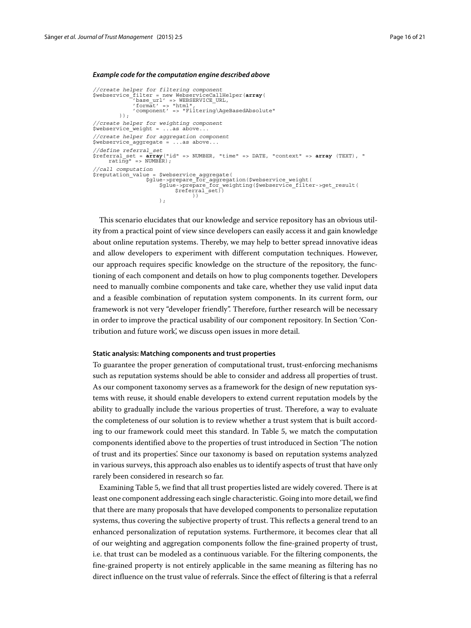#### *Example code for the computation engine described above*

```
//create helper for filtering component
$webservice_filter = new WebserviceCallHelper(array)<br>| sase_url' => WEBSERVICE_URL,<br>| format' => "html",<br>| formatic => "Filtering\AgeBasedAbsolute"
           ));
//create helper for weighting component
$webservice_weight = ...as above...
//create helper for aggregation component
$webservice_aggregate = ...as above...
//define referral_set<br>$referral_set = array("id" => NUMBER, "time" => DATE, "context" => array (TEXT), "<br>rating" => NUMBER);
//call computation
$reputation_value = $webservice_aggregate(<br>$glue->prepare_for_aggregation($webservice_weight(<br>$glue->prepare_for_weighting($webservice_filter->get_result(
                                         $referral_set))
))
                                );
```
This scenario elucidates that our knowledge and service repository has an obvious utility from a practical point of view since developers can easily access it and gain knowledge about online reputation systems. Thereby, we may help to better spread innovative ideas and allow developers to experiment with different computation techniques. However, our approach requires specific knowledge on the structure of the repository, the functioning of each component and details on how to plug components together. Developers need to manually combine components and take care, whether they use valid input data and a feasible combination of reputation system components. In its current form, our framework is not very "developer friendly". Therefore, further research will be necessary in order to improve the practical usability of our component repository. In Section ['Con](#page-17-0)[tribution and future work',](#page-17-0) we discuss open issues in more detail.

#### **Static analysis: Matching components and trust properties**

To guarantee the proper generation of computational trust, trust-enforcing mechanisms such as reputation systems should be able to consider and address all properties of trust. As our component taxonomy serves as a framework for the design of new reputation systems with reuse, it should enable developers to extend current reputation models by the ability to gradually include the various properties of trust. Therefore, a way to evaluate the completeness of our solution is to review whether a trust system that is built according to our framework could meet this standard. In Table [5,](#page-16-0) we match the computation components identified above to the properties of trust introduced in Section ['The notion](#page-1-0) [of trust and its properties'.](#page-1-0) Since our taxonomy is based on reputation systems analyzed in various surveys, this approach also enables us to identify aspects of trust that have only rarely been considered in research so far.

Examining Table [5,](#page-16-0) we find that all trust properties listed are widely covered. There is at least one component addressing each single characteristic. Going into more detail, we find that there are many proposals that have developed components to personalize reputation systems, thus covering the subjective property of trust. This reflects a general trend to an enhanced personalization of reputation systems. Furthermore, it becomes clear that all of our weighting and aggregation components follow the fine-grained property of trust, i.e. that trust can be modeled as a continuous variable. For the filtering components, the fine-grained property is not entirely applicable in the same meaning as filtering has no direct influence on the trust value of referrals. Since the effect of filtering is that a referral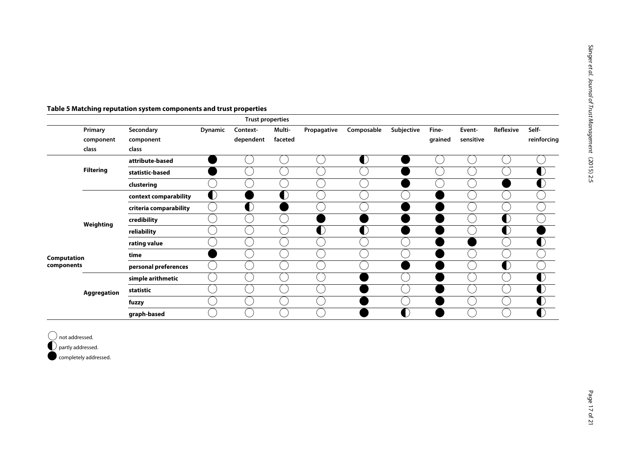| <b>Trust properties</b>   |                    |                        |         |                |           |             |                |            |         |           |           |             |
|---------------------------|--------------------|------------------------|---------|----------------|-----------|-------------|----------------|------------|---------|-----------|-----------|-------------|
|                           | Primary            | Secondary              | Dynamic | Context-       | Multi-    | Propagative | Composable     | Subjective | Fine-   | Event-    | Reflexive | Self-       |
|                           | component          | component              |         | dependent      | faceted   |             |                |            | grained | sensitive |           | reinforcing |
|                           | class              | class                  |         |                |           |             |                |            |         |           |           |             |
| Computation<br>components | <b>Filtering</b>   | attribute-based        |         |                |           |             | $\bullet$      |            |         |           |           |             |
|                           |                    | statistic-based        |         |                |           |             |                |            |         |           |           |             |
|                           |                    | clustering             |         |                |           |             |                |            |         |           |           |             |
|                           | Weighting          | context comparability  | O       |                | $\bullet$ |             |                |            |         |           |           |             |
|                           |                    | criteria comparability |         | $\blacksquare$ |           |             |                |            |         |           |           |             |
|                           |                    | credibility            |         |                |           |             |                |            |         |           |           |             |
|                           |                    | reliability            |         |                |           |             | $\blacksquare$ |            |         |           |           |             |
|                           |                    | rating value           |         |                |           |             |                |            |         |           |           |             |
|                           |                    | time                   |         |                |           |             |                |            |         |           |           |             |
|                           |                    | personal preferences   |         |                |           |             |                |            |         |           |           |             |
|                           | <b>Aggregation</b> | simple arithmetic      |         |                |           |             |                |            |         |           |           |             |
|                           |                    | statistic              |         |                |           |             |                |            |         |           |           |             |
|                           |                    | fuzzy                  |         |                |           |             |                |            |         |           |           |             |
|                           |                    | graph-based            |         |                |           |             |                | O          |         |           |           |             |
|                           |                    |                        |         |                |           |             |                |            |         |           |           |             |

# **Table 5 Matching reputation system components and trust properties**

not addressed.<br>
nartly addresse

partly addressed.

<span id="page-16-0"></span>completely addressed.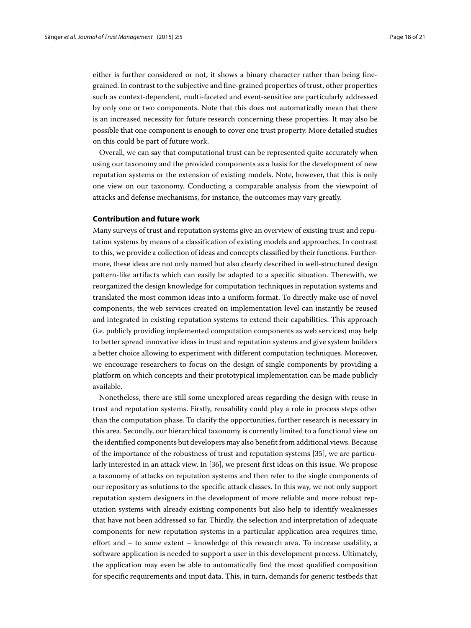either is further considered or not, it shows a binary character rather than being finegrained. In contrast to the subjective and fine-grained properties of trust, other properties such as context-dependent, multi-faceted and event-sensitive are particularly addressed by only one or two components. Note that this does not automatically mean that there is an increased necessity for future research concerning these properties. It may also be possible that one component is enough to cover one trust property. More detailed studies on this could be part of future work.

Overall, we can say that computational trust can be represented quite accurately when using our taxonomy and the provided components as a basis for the development of new reputation systems or the extension of existing models. Note, however, that this is only one view on our taxonomy. Conducting a comparable analysis from the viewpoint of attacks and defense mechanisms, for instance, the outcomes may vary greatly.

#### **Contribution and future work**

<span id="page-17-0"></span>Many surveys of trust and reputation systems give an overview of existing trust and reputation systems by means of a classification of existing models and approaches. In contrast to this, we provide a collection of ideas and concepts classified by their functions. Furthermore, these ideas are not only named but also clearly described in well-structured design pattern-like artifacts which can easily be adapted to a specific situation. Therewith, we reorganized the design knowledge for computation techniques in reputation systems and translated the most common ideas into a uniform format. To directly make use of novel components, the web services created on implementation level can instantly be reused and integrated in existing reputation systems to extend their capabilities. This approach (i.e. publicly providing implemented computation components as web services) may help to better spread innovative ideas in trust and reputation systems and give system builders a better choice allowing to experiment with different computation techniques. Moreover, we encourage researchers to focus on the design of single components by providing a platform on which concepts and their prototypical implementation can be made publicly available.

Nonetheless, there are still some unexplored areas regarding the design with reuse in trust and reputation systems. Firstly, reusability could play a role in process steps other than the computation phase. To clarify the opportunities, further research is necessary in this area. Secondly, our hierarchical taxonomy is currently limited to a functional view on the identified components but developers may also benefit from additional views. Because of the importance of the robustness of trust and reputation systems [\[35\]](#page-19-26), we are particularly interested in an attack view. In [\[36\]](#page-19-27), we present first ideas on this issue. We propose a taxonomy of attacks on reputation systems and then refer to the single components of our repository as solutions to the specific attack classes. In this way, we not only support reputation system designers in the development of more reliable and more robust reputation systems with already existing components but also help to identify weaknesses that have not been addressed so far. Thirdly, the selection and interpretation of adequate components for new reputation systems in a particular application area requires time, effort and – to some extent – knowledge of this research area. To increase usability, a software application is needed to support a user in this development process. Ultimately, the application may even be able to automatically find the most qualified composition for specific requirements and input data. This, in turn, demands for generic testbeds that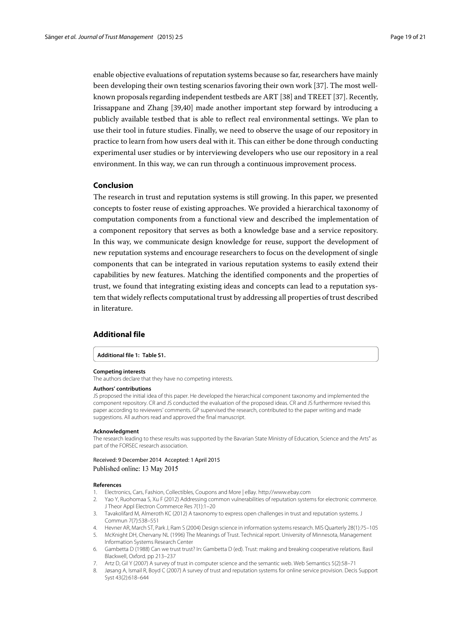enable objective evaluations of reputation systems because so far, researchers have mainly been developing their own testing scenarios favoring their own work [\[37\]](#page-19-28). The most wellknown proposals regarding independent testbeds are ART [\[38\]](#page-19-29) and TREET [\[37\]](#page-19-28). Recently, Irissappane and Zhang [\[39](#page-20-6)[,40\]](#page-20-7) made another important step forward by introducing a publicly available testbed that is able to reflect real environmental settings. We plan to use their tool in future studies. Finally, we need to observe the usage of our repository in practice to learn from how users deal with it. This can either be done through conducting experimental user studies or by interviewing developers who use our repository in a real environment. In this way, we can run through a continuous improvement process.

## **Conclusion**

The research in trust and reputation systems is still growing. In this paper, we presented concepts to foster reuse of existing approaches. We provided a hierarchical taxonomy of computation components from a functional view and described the implementation of a component repository that serves as both a knowledge base and a service repository. In this way, we communicate design knowledge for reuse, support the development of new reputation systems and encourage researchers to focus on the development of single components that can be integrated in various reputation systems to easily extend their capabilities by new features. Matching the identified components and the properties of trust, we found that integrating existing ideas and concepts can lead to a reputation system that widely reflects computational trust by addressing all properties of trust described in literature.

# **Additional file**

#### <span id="page-18-8"></span>**[Additional file 1: Table S1.](http://www.journaloftrustmanagement.com/content/supplementary/s40493-015-0015-3-s1.pdf)**

#### **Competing interests**

The authors declare that they have no competing interests.

#### **Authors' contributions**

JS proposed the initial idea of this paper. He developed the hierarchical component taxonomy and implemented the component repository. CR and JS conducted the evaluation of the proposed ideas. CR and JS furthermore revised this paper according to reviewers' comments. GP supervised the research, contributed to the paper writing and made suggestions. All authors read and approved the final manuscript.

#### **Acknowledgment**

The research leading to these results was supported by the Bavarian State Ministry of Education, Science and the Arts" as part of the FORSEC research association.

#### Received: 9 December 2014 Accepted: 1 April 2015 Published online: 13 May 2015

#### **References**

- <span id="page-18-0"></span>1. Electronics, Cars, Fashion, Collectibles, Coupons and More | eBay.<http://www.ebay.com>
- <span id="page-18-1"></span>2. Yao Y, Ruohomaa S, Xu F (2012) Addressing common vulnerabilities of reputation systems for electronic commerce. J Theor Appl Electron Commerce Res 7(1):1–20
- <span id="page-18-2"></span>3. Tavakolifard M, Almeroth KC (2012) A taxonomy to express open challenges in trust and reputation systems. J Commun 7(7):538–551
- <span id="page-18-3"></span>4. Hevner AR, March ST, Park J, Ram S (2004) Design science in information systems research. MIS Quarterly 28(1):75–105
- <span id="page-18-4"></span>5. McKnight DH, Chervany NL (1996) The Meanings of Trust. Technical report. University of Minnesota, Management Information Systems Research Center
- <span id="page-18-5"></span>6. Gambetta D (1988) Can we trust trust? In: Gambetta D (ed). Trust: making and breaking cooperative relations. Basil Blackwell, Oxford. pp 213–237
- <span id="page-18-6"></span>7. Artz D, Gil Y (2007) A survey of trust in computer science and the semantic web. Web Semantics 5(2):58–71
- <span id="page-18-7"></span>8. Jøsang A, Ismail R, Boyd C (2007) A survey of trust and reputation systems for online service provision. Decis Support Syst 43(2):618–644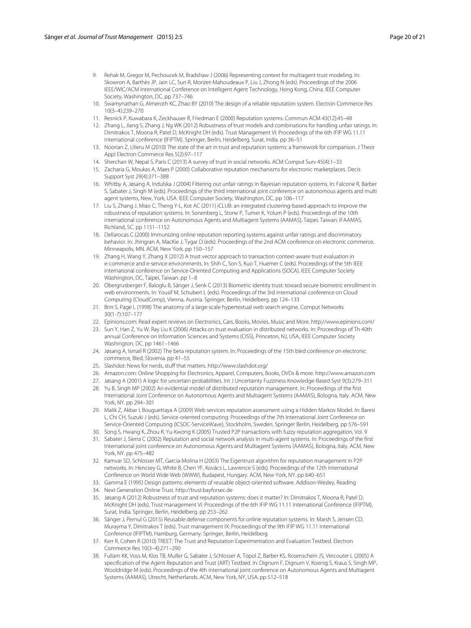- <span id="page-19-5"></span>Rehak M, Gregor M, Pechoucek M, Bradshaw J (2006) Representing context for multiagent trust modeling. In: Skowron A, Barthès JP, Jain LC, Sun R, Morizet-Mahoudeaux P, Liu J, Zhong N (eds). Proceedings of the 2006 IEEE/WIC/ACM International Conference on Intelligent Agent Technology, Hong Kong, China. IEEE Computer Society, Washington, DC. pp 737–746
- <span id="page-19-6"></span>10. Swamynathan G, Almeroth KC, Zhao BY (2010) The design of a reliable reputation system. Electron Commerce Res 10(3–4):239–270
- <span id="page-19-7"></span>11. Resnick P, Kuwabara K, Zeckhauser R, Friedman E (2000) Reputation systems. Commun ACM 43(12):45–48
- <span id="page-19-8"></span>12. Zhang L, Jiang S, Zhang J, Ng WK (2012) Robustness of trust models and combinations for handling unfair ratings. In: Dimitrakos T, Moona R, Patel D, McKnight DH (eds). Trust Management VI: Proceedings of the 6th IFIP WG 11.11 international conference (IFIPTM). Springer, Berlin, Heidelberg, Surat, India. pp 36–51
- <span id="page-19-9"></span>13. Noorian Z, Ulieru M (2010) The state of the art in trust and reputation systems: a framework for comparison. J Theor Appl Electron Commerce Res 5(2):97–117
- <span id="page-19-0"></span>14. Sherchan W, Nepal S, Paris C (2013) A survey of trust in social networks. ACM Comput Surv 45(4):1–33
- <span id="page-19-10"></span>15. Zacharia G, Moukas A, Maes P (2000) Collaborative reputation mechanisms for electronic marketplaces. Decis Support Syst 29(4):371–388
- <span id="page-19-11"></span>16. Whitby A, Jøsang A, Indulska J (2004) Filtering out unfair ratings in Bayesian reputation systems. In: Falcone R, Barber S, Sabater J, Singh M (eds). Proceedings of the third international joint conference on autonomous agents and multi agent systems, New, York, USA. IEEE Computer Society, Washington, DC. pp 106–117
- <span id="page-19-12"></span>17. Liu S, Zhang J, Miao C, Theng Y-L, Kot AC (2011) iCLUB: an integrated clustering-based approach to improve the robustness of reputation systems. In: Sonenberg L, Stone P, Tumer K, Yolum P (eds). Proceedings of the 10th international conference on Autonomous Agents and Multiagent Systems (AAMAS), Taipei, Taiwan. IFAAMAS, Richland, SC. pp 1151–1152
- <span id="page-19-13"></span>18. Dellarocas C (2000) Immunizing online reputation reporting systems against unfair ratings and discriminatory behavior. In: Jhingran A, MacKie J, Tygar D (eds). Proceedings of the 2nd ACM conference on electronic commerce, Minneapolis, MN. ACM, New York. pp 150–157
- <span id="page-19-14"></span>19. Zhang H, Wang Y, Zhang X (2012) A trust vector approach to transaction context-aware trust evaluation in e-commerce and e-service environments. In: Shih C, Son S, Kuo T, Huemer C (eds). Proceedings of the 5th IEEE international conference on Service-Oriented Computing and Applications (SOCA). IEEE Computer Society Washington, DC, Taipei, Taiwan. pp 1–8
- <span id="page-19-15"></span>20. Obergrusberger F, Baloglu B, Sänger J, Senk C (2013) Biometric identity trust: toward secure biometric enrollment in web environments. In: Yousif M, Schubert L (eds). Proceedings of the 3rd international conference on Cloud Computing (CloudComp), Vienna, Austria. Springer, Berlin, Heidelberg. pp 124–133
- <span id="page-19-16"></span>21. Brin S, Page L (1998) The anatomy of a large-scale hypertextual web search engine. Comput Networks 30(1-7):107–177
- <span id="page-19-17"></span>22. Epinions.com: Read expert reviews on Electronics, Cars, Books, Movies, Music and More.<http://www.epinions.com/>
- <span id="page-19-4"></span>23. Sun Y, Han Z, Yu W, Ray Liu K (2006) Attacks on trust evaluation in distributed networks. In: Proceedings of Th 40th annual Conference on Information Sciences and Systems (CISS), Princeton, NJ, USA, IEEE Computer Society Washington, DC. pp 1461–1466
- <span id="page-19-18"></span>24. Jøsang A, Ismail R (2002) The beta reputation system. In: Proceedings of the 15th bled conference on electronic commerce, Bled, Slovenia. pp 41–55
- <span id="page-19-19"></span>25. Slashdot: News for nerds, stuff that matters.<http://www.slashdot.org/>
- <span id="page-19-3"></span>26. Amazon.com: Online Shopping for Electronics, Apparel, Computers, Books, DVDs & more.<http://www.amazon.com>
- <span id="page-19-20"></span>27. Jøsang A (2001) A logic for uncertain probabilities. Int J Uncertainty Fuzziness Knowledge-Based Syst 9(3):279–311
- <span id="page-19-21"></span>28. Yu B, Singh MP (2002) An evidential model of distributed reputation management. In: Proceedings of the first International Joint Conference on Autonomous Agents and Multiagent Systems (AAMAS), Bologna, Italy. ACM, New York, NY. pp 294–301
- <span id="page-19-22"></span>29. Malik Z, Akbar I, Bouguettaya A (2009) Web services reputation assessment using a Hidden Markov Model. In: Baresi L, Chi CH, Suzuki J (eds). Service-oriented computing: Proceedings of the 7th International Joint Conference on Service-Oriented Computing (ICSOC-ServiceWave), Stockholm, Sweden. Springer Berlin, Heidelberg. pp 576–591
- <span id="page-19-2"></span>30. Song S, Hwang K, Zhou R, Yu-Kwong K (2005) Trusted P2P transactions with fuzzy reputation aggregation, Vol. 9
- <span id="page-19-23"></span>31. Sabater J, Sierra C (2002) Reputation and social network analysis in multi-agent systems. In: Proceedings of the first International joint conference on Autonomous Agents and Multiagent Systems (AAMAS), Bologna, Italy. ACM, New York, NY. pp 475–482
- <span id="page-19-1"></span>32. Kamvar SD, Schlosser MT, Garcia-Molina H (2003) The Eigentrust algorithm for reputation management in P2P networks. In: Hencsey G, White B, Chen YF, Kovács L, Lawrence S (eds). Proceedings of the 12th International Conference on World Wide Web (WWW), Budapest, Hungary. ACM, New York, NY. pp 640–651
- <span id="page-19-24"></span>33. Gamma E (1995) Design patterns: elements of reusable object-oriented software. Addison-Wesley, Reading
- <span id="page-19-25"></span>34. Next Generation Online Trust.<http://trust.bayforsec.de>
- <span id="page-19-26"></span>35. Jøsang A (2012) Robustness of trust and reputation systems: does it matter? In: Dimitrakos T, Moona R, Patel D, McKnight DH (eds). Trust management VI: Proceedings of the 6th IFIP WG 11.11 International Conference (IFIPTM), Surat, India. Springer, Berlin, Heidelberg. pp 253–262
- <span id="page-19-27"></span>36. Sänger J, Pernul G (2015) Reusable defense components for online reputation systems. In: Marsh S, Jensen CD, Murayma Y, Dimitrakos T (eds). Trust management IX: Proceedings of the 9th IFIP WG 11.11 International Conference (IFIPTM), Hamburg, Germany. Springer, Berlin, Heidelberg
- <span id="page-19-28"></span>37. Kerr R, Cohen R (2010) TREET: The Trust and Reputation Experimentation and Evaluation Testbed. Electron Commerce Res 10(3–4):271–290
- <span id="page-19-29"></span>38. Fullam KK, Voss M, Klos TB, Muller G, Sabater J, Schlosser A, Topol Z, Barber KS, Rosenschein JS, Vercouter L (2005) A specification of the Agent Reputation and Trust (ART) Testbed. In: Dignum F, Dignum V, Koenig S, Kraus S, Singh MP, Wooldridge M (eds). Proceedings of the 4th international joint conference on Autonomous Agents and Multiagent Systems (AAMAS), Utrecht, Netherlands. ACM, New York, NY, USA. pp 512–518